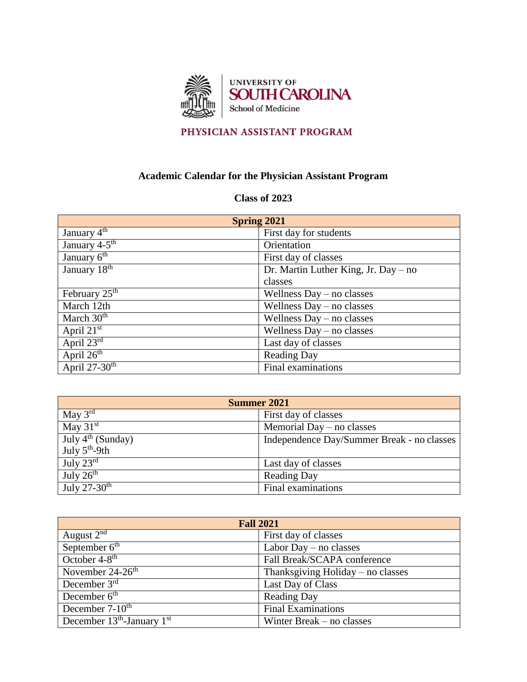

## PHYSICIAN ASSISTANT PROGRAM

## **Academic Calendar for the Physician Assistant Program**

## **Class of 2023**

| <b>Spring 2021</b>          |                                      |
|-----------------------------|--------------------------------------|
| January $4^{\text{th}}$     | First day for students               |
| January 4-5 <sup>th</sup>   | Orientation                          |
| January $\overline{6^{th}}$ | First day of classes                 |
| January $18th$              | Dr. Martin Luther King, Jr. Day – no |
|                             | classes                              |
| February $25^{\text{th}}$   | Wellness $Day - no$ classes          |
| March 12th                  | Wellness $Day - no$ classes          |
| March 30 <sup>th</sup>      | Wellness $Day - no$ classes          |
| April $2\overline{1^{st}}$  | Wellness $Day - no$ classes          |
| April $23^{rd}$             | Last day of classes                  |
| April $2\overline{6^{th}}$  | <b>Reading Day</b>                   |
| April $27-30$ <sup>th</sup> | Final examinations                   |

| Summer 2021              |                                            |
|--------------------------|--------------------------------------------|
| May $3^{rd}$             | First day of classes                       |
| May $31st$               | Memorial Day $-$ no classes                |
| July $4th$ (Sunday)      | Independence Day/Summer Break - no classes |
| July $5th$ -9th          |                                            |
| July $23^{\text{rd}}$    | Last day of classes                        |
| July $26th$              | <b>Reading Day</b>                         |
| July $27-30^{\text{th}}$ | Final examinations                         |

| <b>Fall 2021</b>               |                                     |
|--------------------------------|-------------------------------------|
| August $2nd$                   | First day of classes                |
| September $6th$                | Labor Day $-$ no classes            |
| October $4-8$ <sup>th</sup>    | Fall Break/SCAPA conference         |
| November 24-26 <sup>th</sup>   | Thanksgiving Holiday $-$ no classes |
| December $3^{rd}$              | Last Day of Class                   |
| December $6th$                 | <b>Reading Day</b>                  |
| December $7-10^{th}$           | <b>Final Examinations</b>           |
| December $13th$ -January $1st$ | Winter Break $-$ no classes         |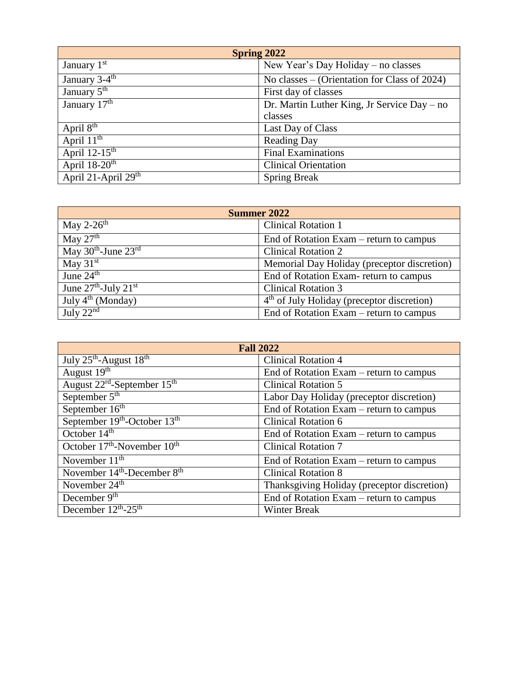| <b>Spring 2022</b>           |                                              |
|------------------------------|----------------------------------------------|
| January 1st                  | New Year's Day Holiday – no classes          |
| January $3-4^{\text{th}}$    | No classes – (Orientation for Class of 2024) |
| January 5 <sup>th</sup>      | First day of classes                         |
| January $\overline{17^{th}}$ | Dr. Martin Luther King, Jr Service Day – no  |
|                              | classes                                      |
| April $8th$                  | Last Day of Class                            |
| April $11^{\text{th}}$       | <b>Reading Day</b>                           |
| April $12-15^{\text{th}}$    | <b>Final Examinations</b>                    |
| April $18-20$ <sup>th</sup>  | <b>Clinical Orientation</b>                  |
| April 21-April 29th          | <b>Spring Break</b>                          |

| <b>Summer 2022</b>                           |                                                            |
|----------------------------------------------|------------------------------------------------------------|
| May 2-26 <sup>th</sup>                       | <b>Clinical Rotation 1</b>                                 |
| May $27th$                                   | End of Rotation Exam – return to campus                    |
| May $30th$ -June $23rd$                      | <b>Clinical Rotation 2</b>                                 |
| May $31st$                                   | Memorial Day Holiday (preceptor discretion)                |
| June $24th$                                  | End of Rotation Exam-return to campus                      |
| June $27^{\text{th}}$ -July $21^{\text{st}}$ | <b>Clinical Rotation 3</b>                                 |
| July $4^{th}$ (Monday)                       | $\overline{4^{th}}$ of July Holiday (preceptor discretion) |
| July $22nd$                                  | End of Rotation Exam – return to campus                    |

| <b>Fall 2022</b>                                    |                                             |
|-----------------------------------------------------|---------------------------------------------|
| July $25^{\text{th}}$ -August $18^{\text{th}}$      | <b>Clinical Rotation 4</b>                  |
| August 19th                                         | End of Rotation Exam – return to campus     |
| August 22 <sup>rd</sup> -September 15 <sup>th</sup> | <b>Clinical Rotation 5</b>                  |
| September 5 <sup>th</sup>                           | Labor Day Holiday (preceptor discretion)    |
| September 16 <sup>th</sup>                          | End of Rotation Exam – return to campus     |
| September 19th-October 13th                         | <b>Clinical Rotation 6</b>                  |
| October $14th$                                      | End of Rotation Exam – return to campus     |
| October 17 <sup>th</sup> -November 10 <sup>th</sup> | <b>Clinical Rotation 7</b>                  |
| November $11th$                                     | End of Rotation Exam – return to campus     |
| November $14th$ -December $8th$                     | <b>Clinical Rotation 8</b>                  |
| November $24th$                                     | Thanksgiving Holiday (preceptor discretion) |
| December 9 <sup>th</sup>                            | End of Rotation Exam – return to campus     |
| December $12^{\text{th}}$ -25 <sup>th</sup>         | <b>Winter Break</b>                         |